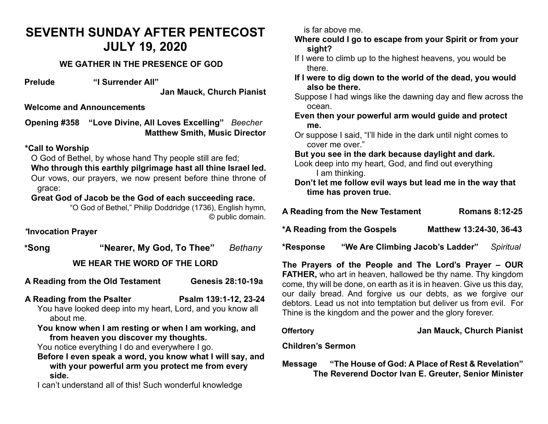## **SEVENTH SUNDAY AFTER PENTECOST JULY 19, 2020**

### **WE GATHER IN THE PRESENCE OF GOD**

**Prelude "I Surrender All"**

**Jan Mauck, Church Pianist**

### **Welcome and Announcements**

**Opening #358 "Love Divine, All Loves Excelling"** *Beecher* **Matthew Smith, Music Director** 

### **\*Call to Worship**

O God of Bethel, by whose hand Thy people still are fed;

**Who through this earthly pilgrimage hast all thine Israel led.** Our vows, our prayers, we now present before thine throne of grace:

### **Great God of Jacob be the God of each succeeding race.**

"O God of Bethel," Philip Doddridge (1736), English hymn, © public domain.

*\****Invocation Prayer** 

**\*Song "Nearer, My God, To Thee"** *Bethany* **WE HEAR THE WORD OF THE LORD**

- **A Reading from the Old Testament Genesis 28:10-19a**
- **A Reading from the Psalter Psalm 139:1-12, 23-24**
	- You have looked deep into my heart, Lord, and you know all about me.
	- **You know when I am resting or when I am working, and from heaven you discover my thoughts.**

You notice everything I do and everywhere I go.

**Before I even speak a word, you know what I will say, and with your powerful arm you protect me from every side.**

I can't understand all of this! Such wonderful knowledge

is far above me.

**Where could I go to escape from your Spirit or from your sight?**

- If I were to climb up to the highest heavens, you would be there.
- **If I were to dig down to the world of the dead, you would also be there.**
- Suppose I had wings like the dawning day and flew across the ocean.
- **Even then your powerful arm would guide and protect me.**
- Or suppose I said, "I'll hide in the dark until night comes to cover me over."

**But you see in the dark because daylight and dark.**

- Look deep into my heart, God, and find out everything I am thinking.
- **Don't let me follow evil ways but lead me in the way that time has proven true.**

| A Reading from the New Testament | <b>Romans 8:12-25</b>   |
|----------------------------------|-------------------------|
| *A Reading from the Gospels      | Matthew 13:24-30, 36-43 |

**\*Response "We Are Climbing Jacob's Ladder"** *Spiritual*

**The Prayers of the People and The Lord's Prayer – OUR FATHER,** who art in heaven, hallowed be thy name. Thy kingdom come, thy will be done, on earth as it is in heaven. Give us this day, our daily bread. And forgive us our debts, as we forgive our debtors. Lead us not into temptation but deliver us from evil. For Thine is the kingdom and the power and the glory forever.

### **Offertory Jan Mauck, Church Pianist**

**Children's Sermon**

**Message "The House of God: A Place of Rest & Revelation" The Reverend Doctor Ivan E. Greuter, Senior Minister**